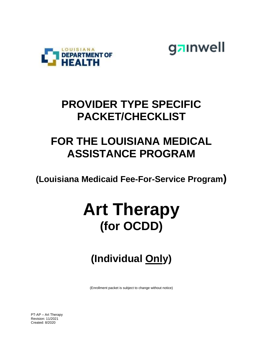



## **PROVIDER TYPE SPECIFIC PACKET/CHECKLIST**

## **FOR THE LOUISIANA MEDICAL ASSISTANCE PROGRAM**

**(Louisiana Medicaid Fee-For-Service Program)**

# **Art Therapy (for OCDD)**

# **(Individual Only)**

(Enrollment packet is subject to change without notice)